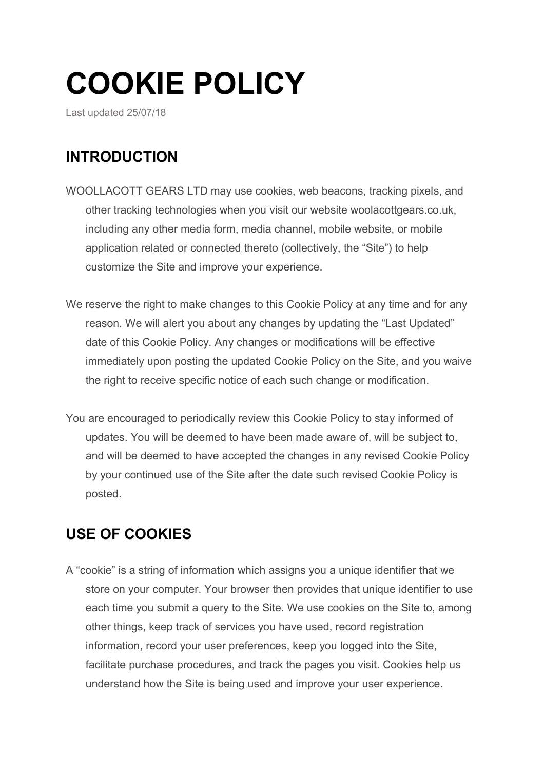# **COOKIE POLICY**

Last updated 25/07/18

## **INTRODUCTION**

- WOOLLACOTT GEARS LTD may use cookies, web beacons, tracking pixels, and other tracking technologies when you visit our website woolacottgears.co.uk, including any other media form, media channel, mobile website, or mobile application related or connected thereto (collectively, the "Site") to help customize the Site and improve your experience.
- We reserve the right to make changes to this Cookie Policy at any time and for any reason. We will alert you about any changes by updating the "Last Updated" date of this Cookie Policy. Any changes or modifications will be effective immediately upon posting the updated Cookie Policy on the Site, and you waive the right to receive specific notice of each such change or modification.
- You are encouraged to periodically review this Cookie Policy to stay informed of updates. You will be deemed to have been made aware of, will be subject to, and will be deemed to have accepted the changes in any revised Cookie Policy by your continued use of the Site after the date such revised Cookie Policy is posted.

### **USE OF COOKIES**

A "cookie" is a string of information which assigns you a unique identifier that we store on your computer. Your browser then provides that unique identifier to use each time you submit a query to the Site. We use cookies on the Site to, among other things, keep track of services you have used, record registration information, record your user preferences, keep you logged into the Site, facilitate purchase procedures, and track the pages you visit. Cookies help us understand how the Site is being used and improve your user experience.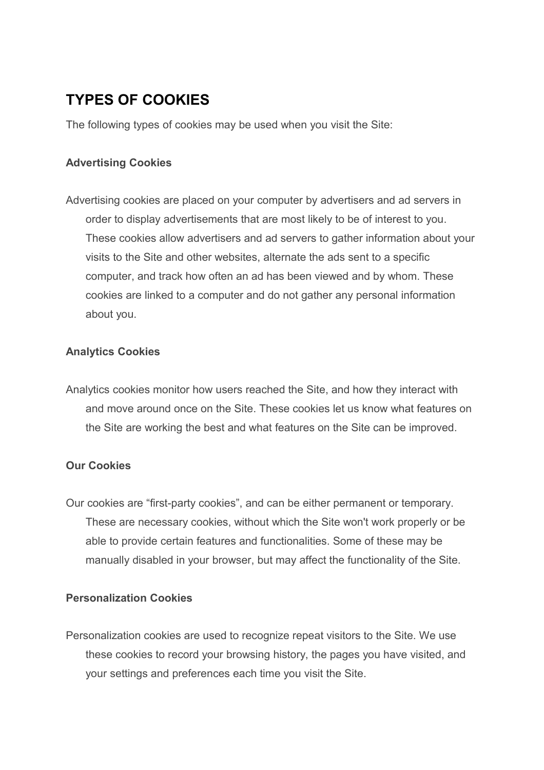## **TYPES OF COOKIES**

The following types of cookies may be used when you visit the Site:

#### **Advertising Cookies**

Advertising cookies are placed on your computer by advertisers and ad servers in order to display advertisements that are most likely to be of interest to you. These cookies allow advertisers and ad servers to gather information about your visits to the Site and other websites, alternate the ads sent to a specific computer, and track how often an ad has been viewed and by whom. These cookies are linked to a computer and do not gather any personal information about you.

#### **Analytics Cookies**

Analytics cookies monitor how users reached the Site, and how they interact with and move around once on the Site. These cookies let us know what features on the Site are working the best and what features on the Site can be improved.

#### **Our Cookies**

Our cookies are "first-party cookies", and can be either permanent or temporary. These are necessary cookies, without which the Site won't work properly or be able to provide certain features and functionalities. Some of these may be manually disabled in your browser, but may affect the functionality of the Site.

#### **Personalization Cookies**

Personalization cookies are used to recognize repeat visitors to the Site. We use these cookies to record your browsing history, the pages you have visited, and your settings and preferences each time you visit the Site.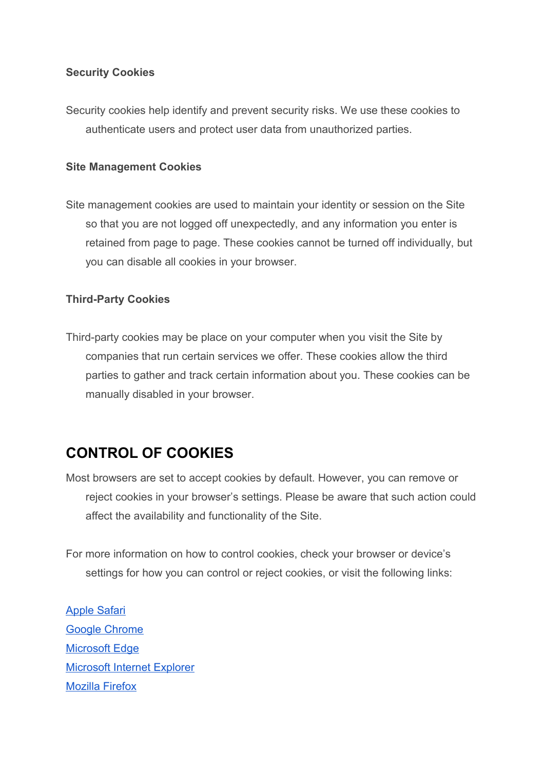#### **Security Cookies**

Security cookies help identify and prevent security risks. We use these cookies to authenticate users and protect user data from unauthorized parties.

#### **Site Management Cookies**

Site management cookies are used to maintain your identity or session on the Site so that you are not logged off unexpectedly, and any information you enter is retained from page to page. These cookies cannot be turned off individually, but you can disable all cookies in your browser.

#### **Third-Party Cookies**

Third-party cookies may be place on your computer when you visit the Site by companies that run certain services we offer. These cookies allow the third parties to gather and track certain information about you. These cookies can be manually disabled in your browser.

## **CONTROL OF COOKIES**

Most browsers are set to accept cookies by default. However, you can remove or reject cookies in your browser's settings. Please be aware that such action could affect the availability and functionality of the Site.

For more information on how to control cookies, check your browser or device's settings for how you can control or reject cookies, or visit the following links:

[Apple Safari](https://support.apple.com/kb/ph19214?locale=en_US) [Google Chrome](https://support.google.com/chrome/answer/95647?co=GENIE.Platform%3DDesktop&hl=en) [Microsoft Edge](https://privacy.microsoft.com/en-us/windows-10-microsoft-edge-and-privacy) [Microsoft Internet Explorer](https://support.microsoft.com/en-gb/help/17442/windows-internet-explorer-delete-manage-cookies) [Mozilla Firefox](https://support.mozilla.org/en-US/kb/enable-and-disable-cookies-website-preferences)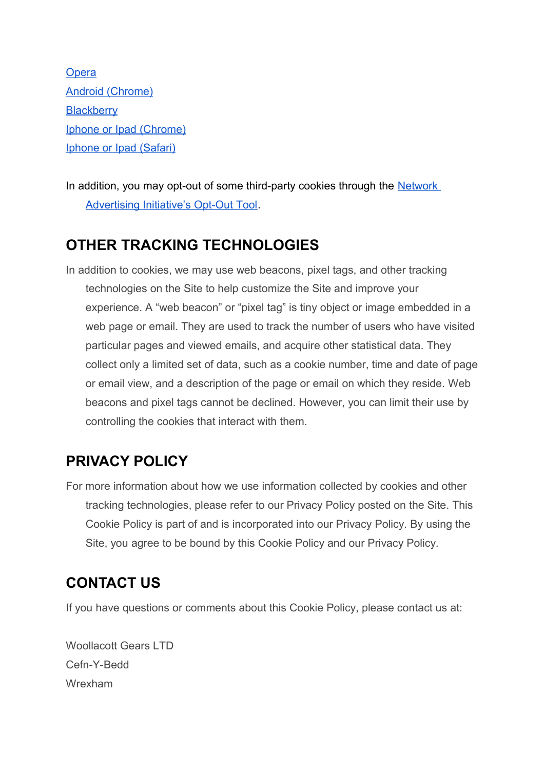**[Opera](http://www.opera.com/help/tutorials/security/cookies/)** [Android \(Chrome\)](https://support.google.com/chrome/answer/95647?co=GENIE.Platform%3DAndroid&hl=en&oco=1) **[Blackberry](https://help.blackberry.com/en/blackberry-classic/10.3.1/help/mwa1334238823957.html)** [Iphone or Ipad \(Chrome\)](https://support.google.com/chrome/answer/95647?co=GENIE.Platform%3DiOS&hl=en&oco=1) [Iphone or Ipad \(Safari\)](https://support.google.com/chrome/answer/95647?co=GENIE.Platform%3DAndroid&hl=en&oco=1)

<span id="page-3-0"></span>In addition, you may opt-out of some third-party cookies through the Network [Advertising Initiative's Opt-Out Tool.](#page-3-0)

## **OTHER TRACKING TECHNOLOGIES**

In addition to cookies, we may use web beacons, pixel tags, and other tracking technologies on the Site to help customize the Site and improve your experience. A "web beacon" or "pixel tag" is tiny object or image embedded in a web page or email. They are used to track the number of users who have visited particular pages and viewed emails, and acquire other statistical data. They collect only a limited set of data, such as a cookie number, time and date of page or email view, and a description of the page or email on which they reside. Web beacons and pixel tags cannot be declined. However, you can limit their use by controlling the cookies that interact with them.

## **PRIVACY POLICY**

For more information about how we use information collected by cookies and other tracking technologies, please refer to our Privacy Policy posted on the Site. This Cookie Policy is part of and is incorporated into our Privacy Policy. By using the Site, you agree to be bound by this Cookie Policy and our Privacy Policy.

## **CONTACT US**

If you have questions or comments about this Cookie Policy, please contact us at:

Woollacott Gears LTD Cefn-Y-Bedd Wrexham